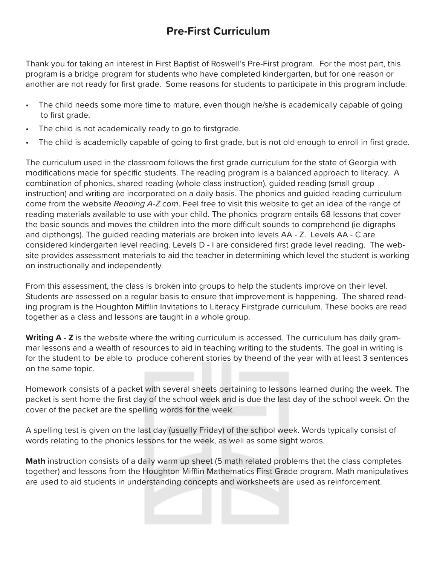## **Pre-First Curriculum**

Thank you for taking an interest in First Baptist of Roswell's Pre-First program. For the most part, this program is a bridge program for students who have completed kindergarten, but for one reason or another are not ready for first grade. Some reasons for students to participate in this program include:

- The child needs some more time to mature, even though he/she is academically capable of going to first grade.
- The child is not academically ready to go to firstgrade.
- The child is academiclly capable of going to first grade, but is not old enough to enroll in first grade.

The curriculum used in the classroom follows the first grade curriculum for the state of Georgia with modifications made for specific students. The reading program is a balanced approach to literacy. A combination of phonics, shared reading (whole class instruction), guided reading (small group instruction) and writing are incorporated on a daily basis. The phonics and guided reading curriculum come from the website *Reading A-Z.com*. Feel free to visit this website to get an idea of the range of reading materials available to use with your child. The phonics program entails 68 lessons that cover the basic sounds and moves the children into the more difficult sounds to comprehend (ie digraphs and dipthongs). The guided reading materials are broken into levels AA - Z. Levels AA - C are considered kindergarten level reading. Levels D - I are considered first grade level reading. The website provides assessment materials to aid the teacher in determining which level the student is working on instructionally and independently.

From this assessment, the class is broken into groups to help the students improve on their level. Students are assessed on a regular basis to ensure that improvement is happening. The shared reading program is the Houghton Mifflin Invitations to Literacy Firstgrade curriculum. These books are read together as a class and lessons are taught in a whole group.

**Writing A - Z** is the website where the writing curriculum is accessed. The curriculum has daily grammar lessons and a wealth of resources to aid in teaching writing to the students. The goal in writing is for the student to be able to produce coherent stories by theend of the year with at least 3 sentences on the same topic.

Homework consists of a packet with several sheets pertaining to lessons learned during the week. The packet is sent home the first day of the school week and is due the last day of the school week. On the cover of the packet are the spelling words for the week.

A spelling test is given on the last day (usually Friday) of the school week. Words typically consist of words relating to the phonics lessons for the week, as well as some sight words.

**Math** instruction consists of a daily warm up sheet (5 math related problems that the class completes together) and lessons from the Houghton Mifflin Mathematics First Grade program. Math manipulatives are used to aid students in understanding concepts and worksheets are used as reinforcement.

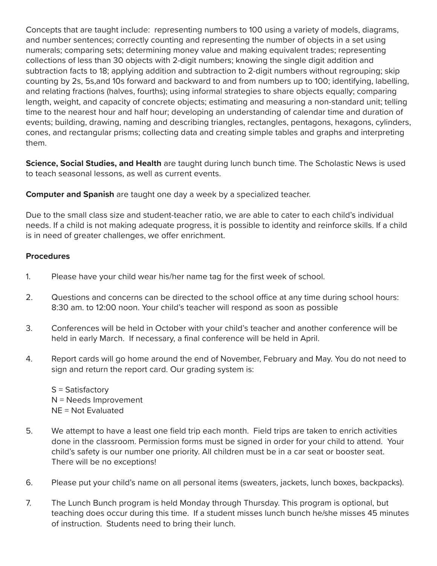Concepts that are taught include: representing numbers to 100 using a variety of models, diagrams, and number sentences; correctly counting and representing the number of objects in a set using numerals; comparing sets; determining money value and making equivalent trades; representing collections of less than 30 objects with 2-digit numbers; knowing the single digit addition and subtraction facts to 18; applying addition and subtraction to 2-digit numbers without regrouping; skip counting by 2s, 5s,and 10s forward and backward to and from numbers up to 100; identifying, labelling, and relating fractions (halves, fourths); using informal strategies to share objects equally; comparing length, weight, and capacity of concrete objects; estimating and measuring a non-standard unit; telling time to the nearest hour and half hour; developing an understanding of calendar time and duration of events; building, drawing, naming and describing triangles, rectangles, pentagons, hexagons, cylinders, cones, and rectangular prisms; collecting data and creating simple tables and graphs and interpreting them.

**Science, Social Studies, and Health** are taught during lunch bunch time. The Scholastic News is used to teach seasonal lessons, as well as current events.

**Computer and Spanish** are taught one day a week by a specialized teacher.

Due to the small class size and student-teacher ratio, we are able to cater to each child's individual needs. If a child is not making adequate progress, it is possible to identity and reinforce skills. If a child is in need of greater challenges, we offer enrichment.

## **Procedures**

- 1. Please have your child wear his/her name tag for the first week of school.
- 2. Questions and concerns can be directed to the school office at any time during school hours: 8:30 am. to 12:00 noon. Your child's teacher will respond as soon as possible
- 3. Conferences will be held in October with your child's teacher and another conference will be held in early March. If necessary, a final conference will be held in April.
- 4. Report cards will go home around the end of November, February and May. You do not need to sign and return the report card. Our grading system is:

S = Satisfactory N = Needs Improvement NE = Not Evaluated

- 5. We attempt to have a least one field trip each month. Field trips are taken to enrich activities done in the classroom. Permission forms must be signed in order for your child to attend. Your child's safety is our number one priority. All children must be in a car seat or booster seat. There will be no exceptions!
- 6. Please put your child's name on all personal items (sweaters, jackets, lunch boxes, backpacks).
- 7. The Lunch Bunch program is held Monday through Thursday. This program is optional, but teaching does occur during this time. If a student misses lunch bunch he/she misses 45 minutes of instruction. Students need to bring their lunch.